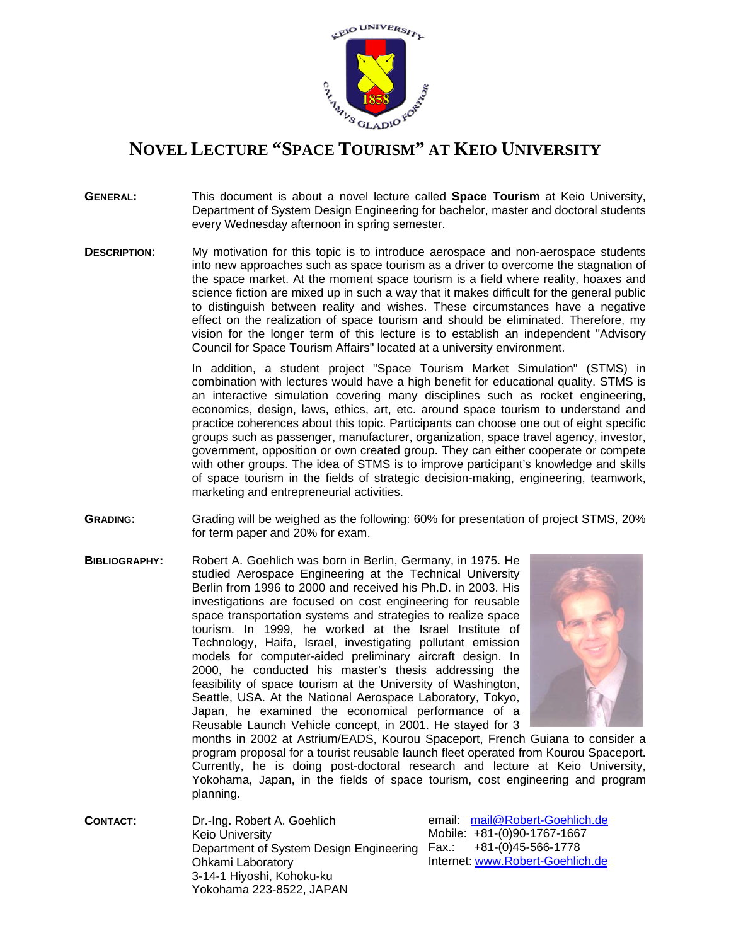

## **NOVEL LECTURE "SPACE TOURISM" AT KEIO UNIVERSITY**

- **GENERAL:** This document is about a novel lecture called **Space Tourism** at Keio University, Department of System Design Engineering for bachelor, master and doctoral students every Wednesday afternoon in spring semester.
- **DESCRIPTION:** My motivation for this topic is to introduce aerospace and non-aerospace students into new approaches such as space tourism as a driver to overcome the stagnation of the space market. At the moment space tourism is a field where reality, hoaxes and science fiction are mixed up in such a way that it makes difficult for the general public to distinguish between reality and wishes. These circumstances have a negative effect on the realization of space tourism and should be eliminated. Therefore, my vision for the longer term of this lecture is to establish an independent "Advisory Council for Space Tourism Affairs" located at a university environment.

In addition, a student project "Space Tourism Market Simulation" (STMS) in combination with lectures would have a high benefit for educational quality. STMS is an interactive simulation covering many disciplines such as rocket engineering, economics, design, laws, ethics, art, etc. around space tourism to understand and practice coherences about this topic. Participants can choose one out of eight specific groups such as passenger, manufacturer, organization, space travel agency, investor, government, opposition or own created group. They can either cooperate or compete with other groups. The idea of STMS is to improve participant's knowledge and skills of space tourism in the fields of strategic decision-making, engineering, teamwork, marketing and entrepreneurial activities.

- **GRADING:** Grading will be weighed as the following: 60% for presentation of project STMS, 20% for term paper and 20% for exam.
- **BIBLIOGRAPHY:** Robert A. Goehlich was born in Berlin, Germany, in 1975. He studied Aerospace Engineering at the Technical University Berlin from 1996 to 2000 and received his Ph.D. in 2003. His investigations are focused on cost engineering for reusable space transportation systems and strategies to realize space tourism. In 1999, he worked at the Israel Institute of Technology, Haifa, Israel, investigating pollutant emission models for computer-aided preliminary aircraft design. In 2000, he conducted his master's thesis addressing the feasibility of space tourism at the University of Washington, Seattle, USA. At the National Aerospace Laboratory, Tokyo, Japan, he examined the economical performance of a Reusable Launch Vehicle concept, in 2001. He stayed for 3



months in 2002 at Astrium/EADS, Kourou Spaceport, French Guiana to consider a program proposal for a tourist reusable launch fleet operated from Kourou Spaceport. Currently, he is doing post-doctoral research and lecture at Keio University, Yokohama, Japan, in the fields of space tourism, cost engineering and program planning.

**CONTACT:** Dr.-Ing. Robert A. Goehlich Keio University Department of System Design Engineering Ohkami Laboratory 3-14-1 Hiyoshi, Kohoku-ku Yokohama 223-8522, JAPAN

email: [mail@Robert-Goehlich.de](mailto:mail@Robert-Goehlich.de)  Mobile: +81-(0)90-1767-1667 Fax.: +81-(0)45-566-1778 Internet: [www.Robert-Goehlich.de](http://www.robert-goehlich.de/)